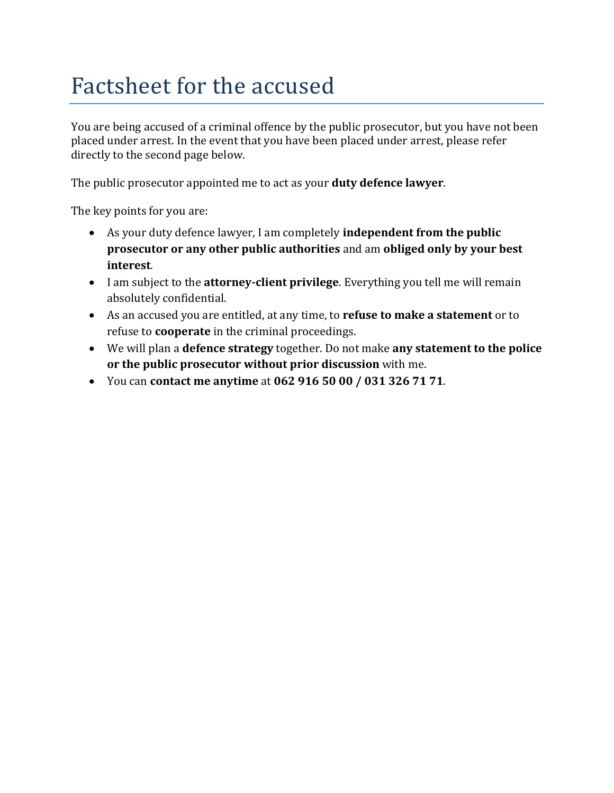## Factsheet for the accused

You are being accused of a criminal offence by the public prosecutor, but you have not been placed under arrest. In the event that you have been placed under arrest, please refer directly to the second page below.

The public prosecutor appointed me to act as your **duty defence lawyer**.

The key points for you are:

- As your duty defence lawyer, I am completely **independent from the public prosecutor or any other public authorities** and am **obliged only by your best interest**.
- I am subject to the **attorney-client privilege**. Everything you tell me will remain absolutely confidential.
- As an accused you are entitled, at any time, to **refuse to make a statement** or to refuse to **cooperate** in the criminal proceedings.
- We will plan a **defence strategy** together. Do not make **any statement to the police or the public prosecutor without prior discussion** with me.
- You can **contact me anytime** at **062 916 50 00 / 031 326 71 71**.